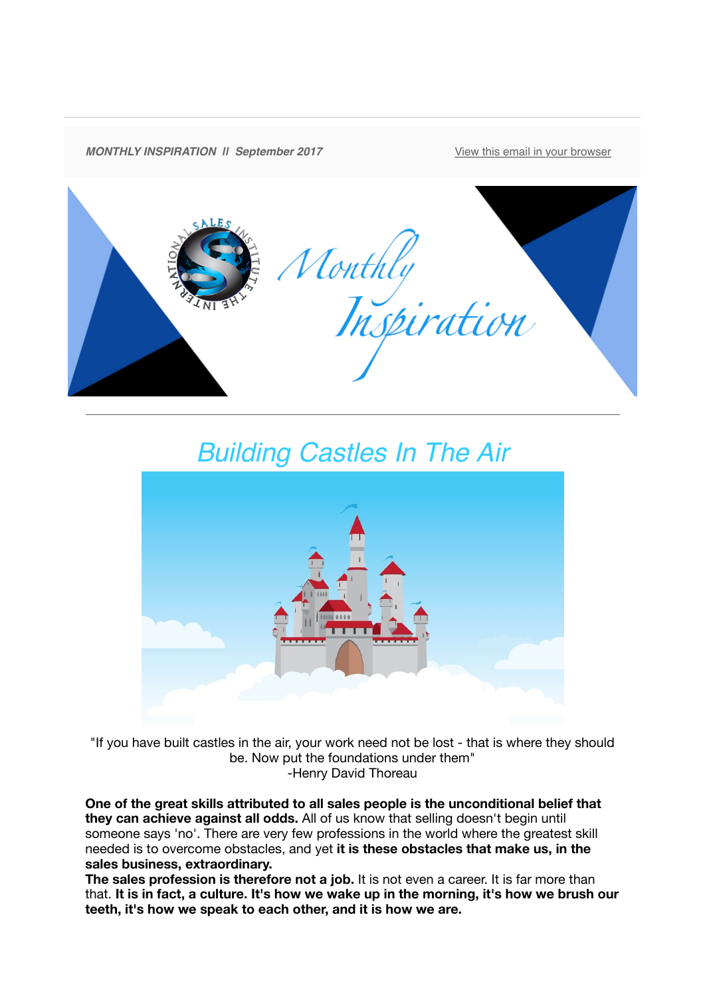

## *Building Castles In The Air*



"If you have built castles in the air, your work need not be lost - that is where they should be. Now put the foundations under them" -Henry David Thoreau

**One of the great skills attributed to all sales people is the unconditional belief that they can achieve against all odds.** All of us know that selling doesn't begin until someone says 'no'. There are very few professions in the world where the greatest skill needed is to overcome obstacles, and yet **it is these obstacles that make us, in the sales business, extraordinary.**

**The sales profession is therefore not a job.** It is not even a career. It is far more than that. **It is in fact, a culture. It's how we wake up in the morning, it's how we brush our teeth, it's how we speak to each other, and it is how we are.**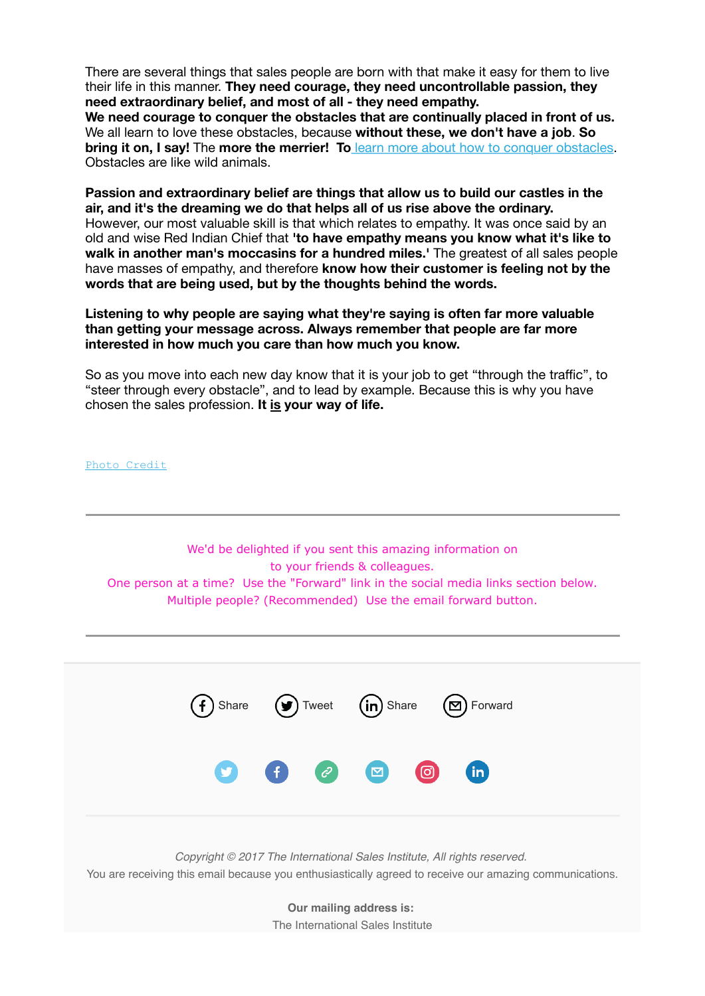There are several things that sales people are born with that make it easy for them to live their life in this manner. **They need courage, they need uncontrollable passion, they need extraordinary belief, and most of all - they need empathy.**

**We need courage to conquer the obstacles that are continually placed in front of us.** We all learn to love these obstacles, because **without these, we don't have a job**. **So bring it on, I say!** The **more the merrier! To** [learn more about how to conquer obstacles](http://theinternationalsalesinstitute.us11.list-manage.com/track/click?u=933b80e7a2e18bb216f31e81e&id=f5cf1a9082&e=dbf1c93ab8). Obstacles are like wild animals.

**Passion and extraordinary belief are things that allow us to build our castles in the air, and it's the dreaming we do that helps all of us rise above the ordinary.** However, our most valuable skill is that which relates to empathy. It was once said by an old and wise Red Indian Chief that **'to have empathy means you know what it's like to walk in another man's moccasins for a hundred miles.'** The greatest of all sales people have masses of empathy, and therefore **know how their customer is feeling not by the words that are being used, but by the thoughts behind the words.** 

**Listening to why people are saying what they're saying is often far more valuable than getting your message across. Always remember that people are far more interested in how much you care than how much you know.**

So as you move into each new day know that it is your job to get "through the traffic", to "steer through every obstacle", and to lead by example. Because this is why you have chosen the sales profession. **It is your way of life.**

[Photo Credit](http://theinternationalsalesinstitute.us11.list-manage2.com/track/click?u=933b80e7a2e18bb216f31e81e&id=f970b7f072&e=dbf1c93ab8)

We'd be delighted if you sent this amazing information on to your friends & colleagues. One person at a time? Use the "Forward" link in the social media links section below. Multiple people? (Recommended) Use the email forward button.

[Share](http://theinternationalsalesinstitute.us11.list-manage.com/track/click?u=933b80e7a2e18bb216f31e81e&id=0fd71f6741&e=dbf1c93ab8)  $(\mathcal{Y})$  [Tweet](http://theinternationalsalesinstitute.us11.list-manage2.com/track/click?u=933b80e7a2e18bb216f31e81e&id=0e8469d7c3&e=dbf1c93ab8)  $(\mathsf{in})$  Share  $(\mathbb{Z})$  [Forward](http://us11.forward-to-friend2.com/forward?u=933b80e7a2e18bb216f31e81e&id=859417b3cf&e=dbf1c93ab8) in *Copyright © 2017 The International Sales Institute, All rights reserved.* You are receiving this email because you enthusiastically agreed to receive our amazing communications.

> **Our mailing address is:** The International Sales Institute